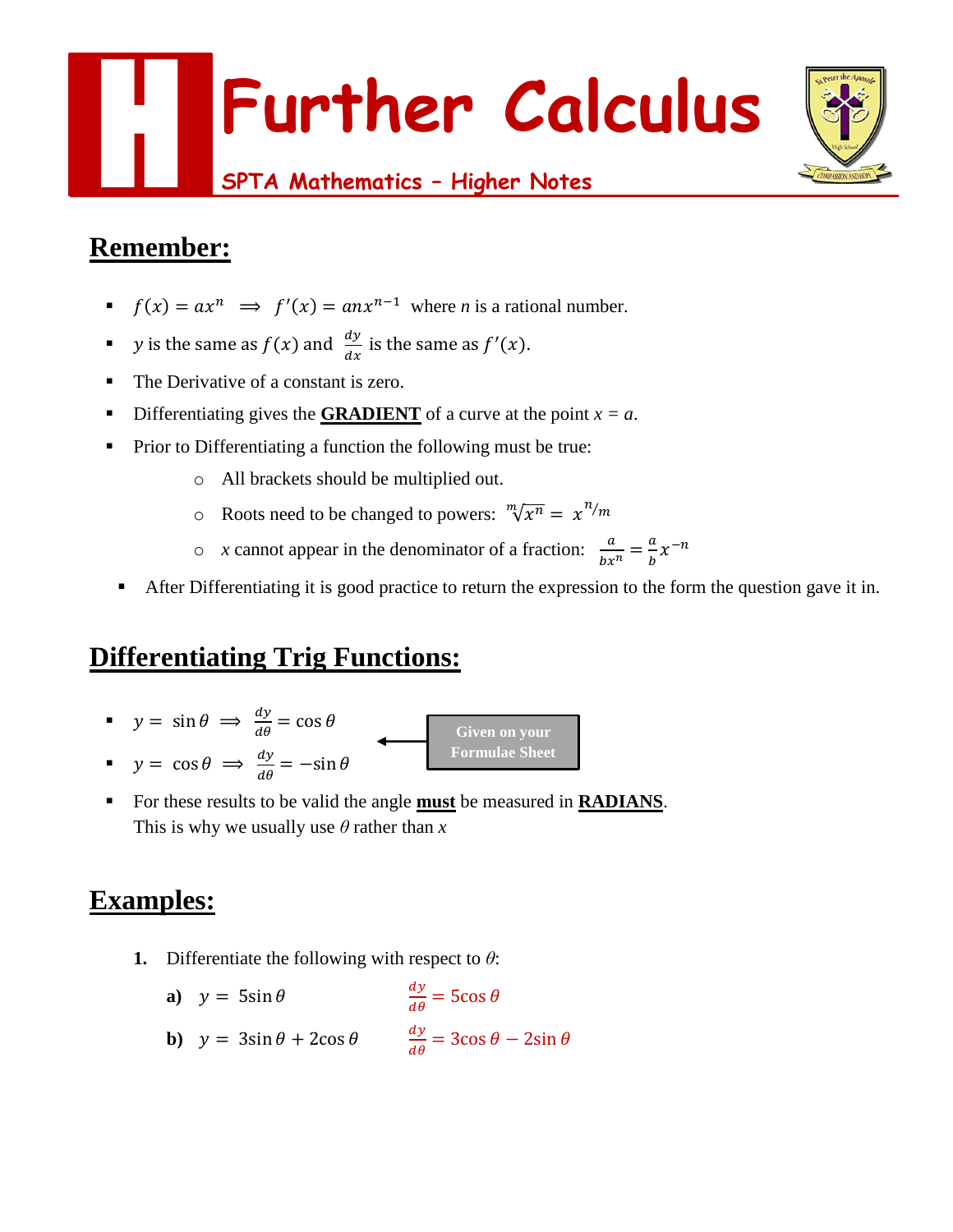

## **Remember:**

- $\blacksquare$   $f(x) = ax^n \implies f'(x) = anx^{n-1}$  where *n* is a rational number.
- **v** is the same as  $f(x)$  and  $\frac{dy}{dx}$  is the same as  $f'(x)$ .
- The Derivative of a constant is zero.
- Differentiating gives the **GRADIENT** of a curve at the point  $x = a$ .
- Prior to Differentiating a function the following must be true:
	- o All brackets should be multiplied out.
	- $\circ$  Roots need to be changed to powers:  $\sqrt[m]{x^n} = x^{n/m}$
	- $\circ$  *x* cannot appear in the denominator of a fraction:  $\frac{a}{bx^n} = \frac{a}{b}$  $\frac{a}{b}x^{-n}$
	- After Differentiating it is good practice to return the expression to the form the question gave it in.

# **Differentiating Trig Functions:**

- $\bullet$   $y = \sin \theta \implies \frac{dy}{d\theta} = \cos \theta$  $\bullet$   $y = \cos \theta \implies \frac{dy}{d\theta} = -\sin \theta$ **Given on your Formulae Sheet**
- For these results to be valid the angle **must** be measured in **RADIANS**. This is why we usually use *θ* rather than *x*

- **1.** Differentiate the following with respect to *θ*:
	- **a**)  $v = 5\sin\theta$  $\frac{dy}{d\theta}$  = 5cos  $\theta$ **b**)  $y = 3\sin\theta + 2\cos\theta$   $\frac{dy}{d\theta} = 3\cos\theta - 2\sin\theta$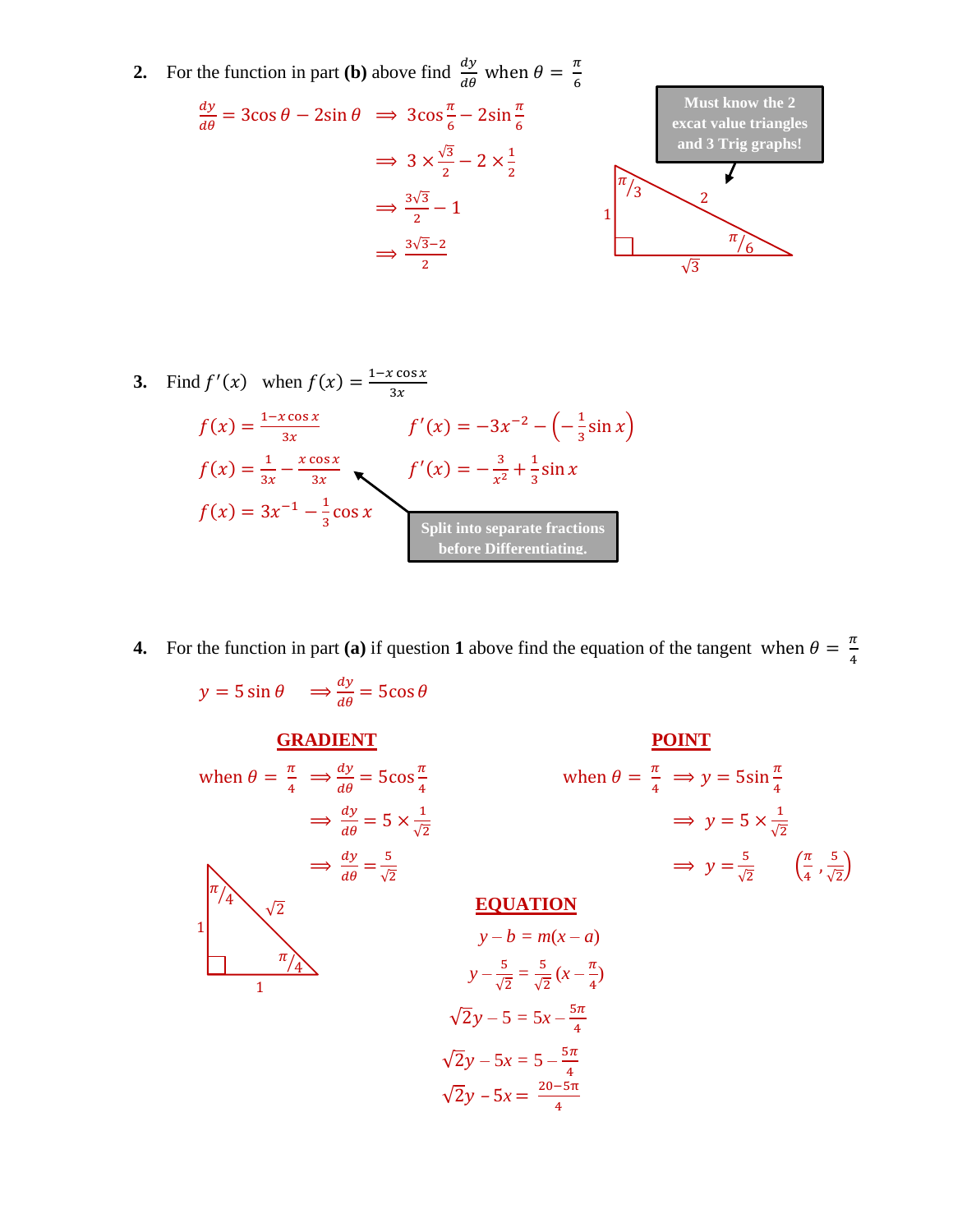**2.** For the function in part **(b)** above find  $\frac{dy}{d\theta}$  when  $\theta = \frac{\pi}{6}$ 6

$$
\frac{dy}{d\theta} = 3\cos\theta - 2\sin\theta \implies 3\cos\frac{\pi}{6} - 2\sin\frac{\pi}{6}
$$
  

$$
\implies 3 \times \frac{\sqrt{3}}{2} - 2 \times \frac{1}{2}
$$
  

$$
\implies \frac{3\sqrt{3}}{2} - 1
$$
  

$$
\implies \frac{3\sqrt{3}-2}{2}
$$
  

$$
\implies \frac{3\sqrt{3}-2}{2}
$$
  

$$
\implies \frac{\sqrt{3}-2}{\sqrt{3}}
$$
  

3. Find 
$$
f'(x)
$$
 when  $f(x) = \frac{1 - x \cos x}{3x}$   
\n
$$
f(x) = \frac{1 - x \cos x}{3x}
$$
\n
$$
f'(x) = -3x^{-2} - (-\frac{1}{3} \sin x)
$$
\n
$$
f(x) = \frac{1}{3x} - \frac{x \cos x}{3x}
$$
\n
$$
f'(x) = -\frac{3}{x^2} + \frac{1}{3} \sin x
$$
\n
$$
f(x) = 3x^{-1} - \frac{1}{3} \cos x
$$
\nSplit into separate fractions before Differentiating.

**4.** For the function in part (a) if question 1 above find the equation of the tangent when  $\theta = \frac{\pi}{4}$ 4

$$
y = 5 \sin \theta \implies \frac{dy}{d\theta} = 5 \cos \theta
$$
  
\n**GRAPH**  
\n
$$
\text{When } \theta = \frac{\pi}{4} \implies \frac{dy}{d\theta} = 5 \cos \frac{\pi}{4} \quad \text{when } \theta = \frac{\pi}{4} \implies y = 5 \sin \frac{\pi}{4}
$$
  
\n
$$
\implies \frac{dy}{d\theta} = 5 \times \frac{1}{\sqrt{2}}
$$
  
\n
$$
\implies \frac{dy}{d\theta} = \frac{5}{\sqrt{2}}
$$
  
\n
$$
\implies \frac{d\theta}{d\theta} = \frac{5}{\sqrt{2}}
$$
  
\n**EQUATION**  
\n
$$
y - b = m(x - a)
$$
  
\n
$$
y - \frac{5}{\sqrt{2}} = \frac{5}{\sqrt{2}} (x - \frac{\pi}{4})
$$
  
\n
$$
\sqrt{2}y - 5 = 5x - \frac{5\pi}{4}
$$
  
\n
$$
\sqrt{2}y - 5x = 5 - \frac{5\pi}{4}
$$
  
\n
$$
\sqrt{2}y - 5x = \frac{20 - 5\pi}{4}
$$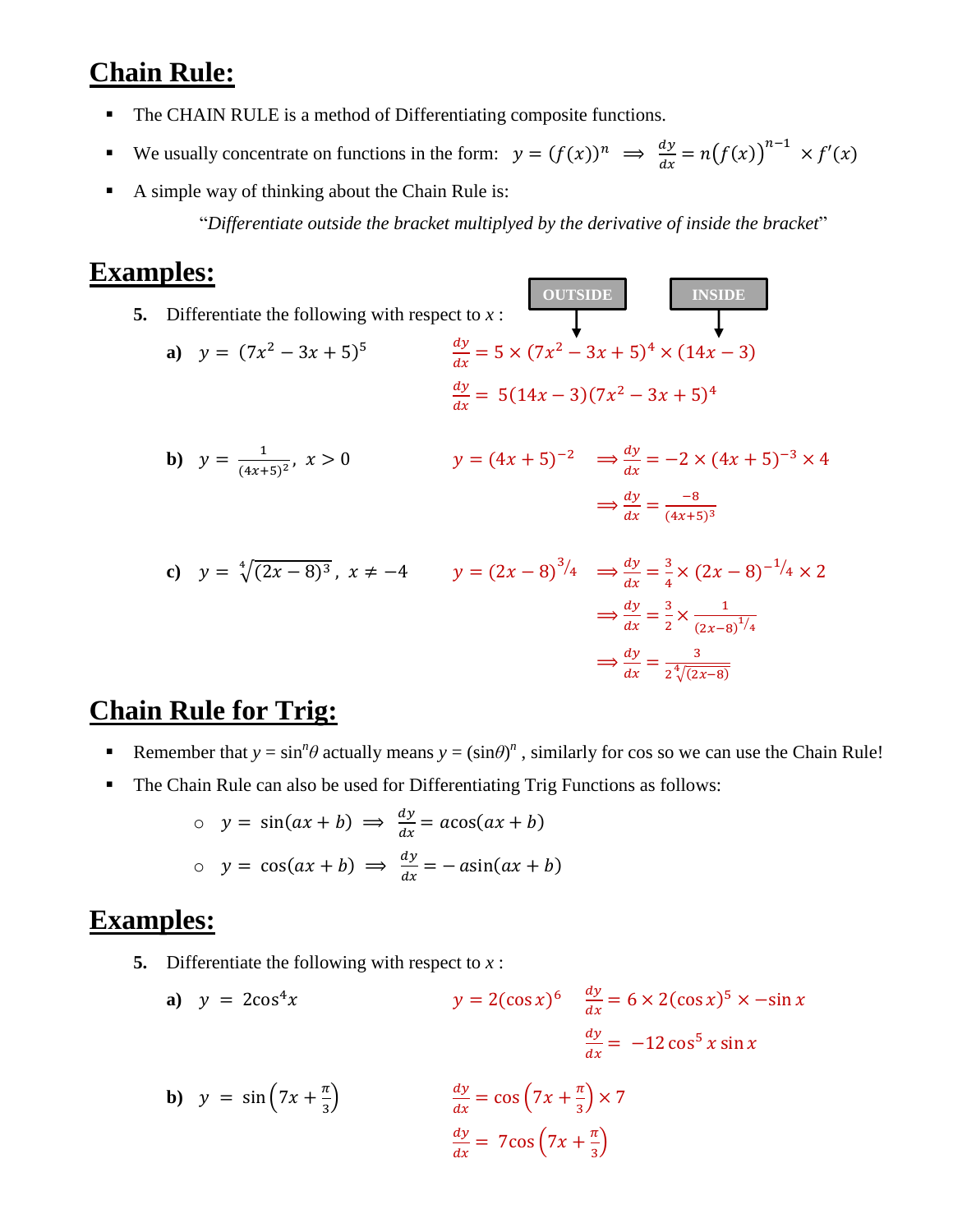## **Chain Rule:**

- The CHAIN RULE is a method of Differentiating composite functions.
- We usually concentrate on functions in the form:  $y = (f(x))^n \implies \frac{dy}{dx}$  $\frac{dy}{dx} = n(f(x))^{n-1} \times f'(x)$
- A simple way of thinking about the Chain Rule is:

"*Differentiate outside the bracket multiplyed by the derivative of inside the bracket*"

**OUTSIDE INSIDE**

### **Examples:**

**5.** Differentiate the following with respect to  $x$ :

a) 
$$
y = (7x^2 - 3x + 5)^5
$$
  
\n
$$
\frac{dy}{dx} = 5 \times (7x^2 - 3x + 5)^4 \times (14x - 3)
$$
\n
$$
\frac{dy}{dx} = 5(14x - 3)(7x^2 - 3x + 5)^4
$$

**b)** 
$$
y = \frac{1}{(4x+5)^2}
$$
,  $x > 0$   $y = (4x+5)^{-2}$   $\Rightarrow \frac{dy}{dx} = -2 \times (4x+5)^{-3} \times 4$   
 $\Rightarrow \frac{dy}{dx} = \frac{-8}{(4x+5)^3}$ 

c) 
$$
y = \sqrt[4]{(2x - 8)^3}
$$
,  $x \neq -4$   $y = (2x - 8)^{3/4}$   $\Rightarrow \frac{dy}{dx} = \frac{3}{4} \times (2x - 8)^{-1/4} \times 2$   
 $\Rightarrow \frac{dy}{dx} = \frac{3}{2} \times \frac{1}{(2x - 8)^{1/4}}$   
 $\Rightarrow \frac{dy}{dx} = \frac{3}{2\sqrt[4]{(2x - 8)}}$ 

### **Chain Rule for Trig:**

- Remember that  $y = \sin^n \theta$  actually means  $y = (\sin \theta)^n$ , similarly for cos so we can use the Chain Rule!
- The Chain Rule can also be used for Differentiating Trig Functions as follows:

$$
y = \sin(ax + b) \implies \frac{dy}{dx} = a\cos(ax + b)
$$
  

$$
y = \cos(ax + b) \implies \frac{dy}{dx} = -a\sin(ax + b)
$$

- **5.** Differentiate the following with respect to *x* :
	- **a**)  $y = 2\cos^4 x$  $6 \frac{dy}{x}$  $\frac{dy}{dx} = 6 \times 2(\cos x)^5 \times -\sin x$  $\frac{dy}{x}$  $\frac{dy}{dx}$  = -12 cos<sup>5</sup> x sin x

**b)** 
$$
y = \sin(7x + \frac{\pi}{3})
$$
  $\frac{dy}{dx} = \cos(7x + \frac{\pi}{3}) \times 7$   
 $\frac{dy}{dx} = 7\cos(7x + \frac{\pi}{3})$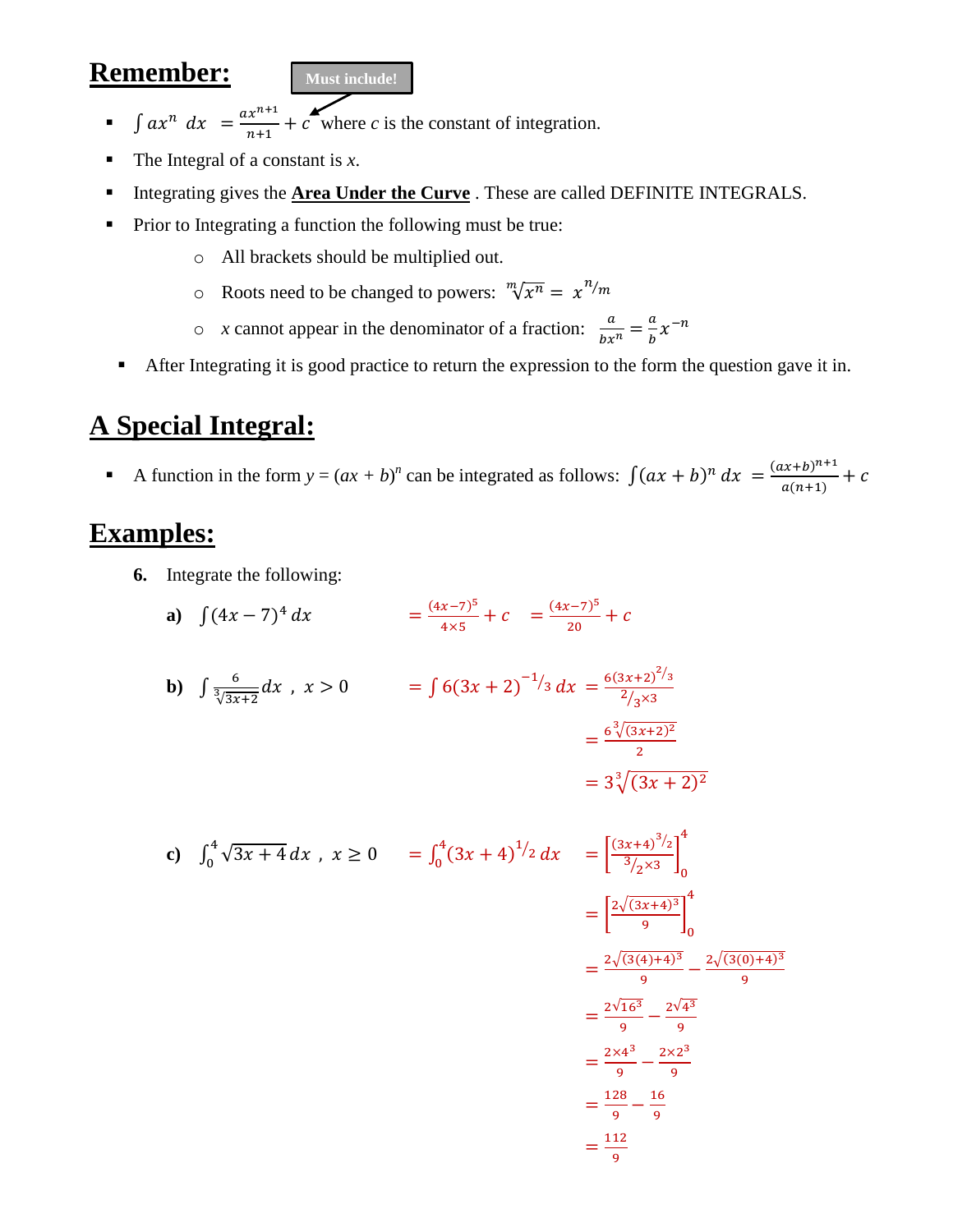### **Remember:**



- $\int ax^n dx = \frac{ax^{n+1}}{x+1}$  $\frac{x}{n+1} + c$  where *c* is the constant of integration.
- The Integral of a constant is *x*.
- **Integrating gives the Area Under the Curve**. These are called DEFINITE INTEGRALS.
- Prior to Integrating a function the following must be true:
	- o All brackets should be multiplied out.
	- $\circ$  Roots need to be changed to powers:  $\sqrt[m]{x^n} = x^{n/m}$
	- $\circ$  *x* cannot appear in the denominator of a fraction:  $\frac{a}{bx^n} = \frac{a}{b}$  $\frac{a}{b}x^{-n}$
	- After Integrating it is good practice to return the expression to the form the question gave it in.

# **A Special Integral:**

A function in the form  $y = (ax + b)^n$  can be integrated as follows:  $\int (ax + b)^n dx = \frac{(ax+b)^{n+1}}{a(a+b)}$  $\frac{a(n+1)}{a(n+1)} + c$ 

- **6.** Integrate the following:
	- **a**)  $\int (4x 7)^4 dx = \frac{(4x 7)^5}{4x^5}$  $\frac{(x-7)^5}{4\times5} + c = \frac{(4x-7)^5}{20}$  $\frac{(-7)^{2}}{20} + c$

**b)** 
$$
\int \frac{6}{\sqrt[3]{3x+2}} dx , x > 0 = \int 6(3x+2)^{-1/3} dx = \frac{6(3x+2)^{2/3}}{2/3 \times 3} = \frac{6\sqrt[3]{(3x+2)^2}}{2} = 3\sqrt[3]{(3x+2)^2} = 3\sqrt[3]{(3x+2)^2}
$$

c) 
$$
\int_0^4 \sqrt{3x + 4} \, dx \, , \, x \ge 0 \qquad = \int_0^4 (3x + 4)^{1/2} \, dx \qquad = \left[ \frac{(3x + 4)^{3/2}}{3/2 \times 3} \right]_0^4
$$

$$
= \left[ \frac{2\sqrt{(3x + 4)^3}}{9} \right]_0^4
$$

$$
= \frac{2\sqrt{(3(4) + 4)^3}}{9} - \frac{2\sqrt{(3(0) + 4)^3}}{9}
$$

$$
= \frac{2\sqrt{16^3}}{9} - \frac{2\sqrt{4^3}}{9}
$$

$$
= \frac{2 \times 4^3}{9} - \frac{2 \times 2^3}{9}
$$

$$
= \frac{128}{9} - \frac{16}{9}
$$

$$
= \frac{112}{9}
$$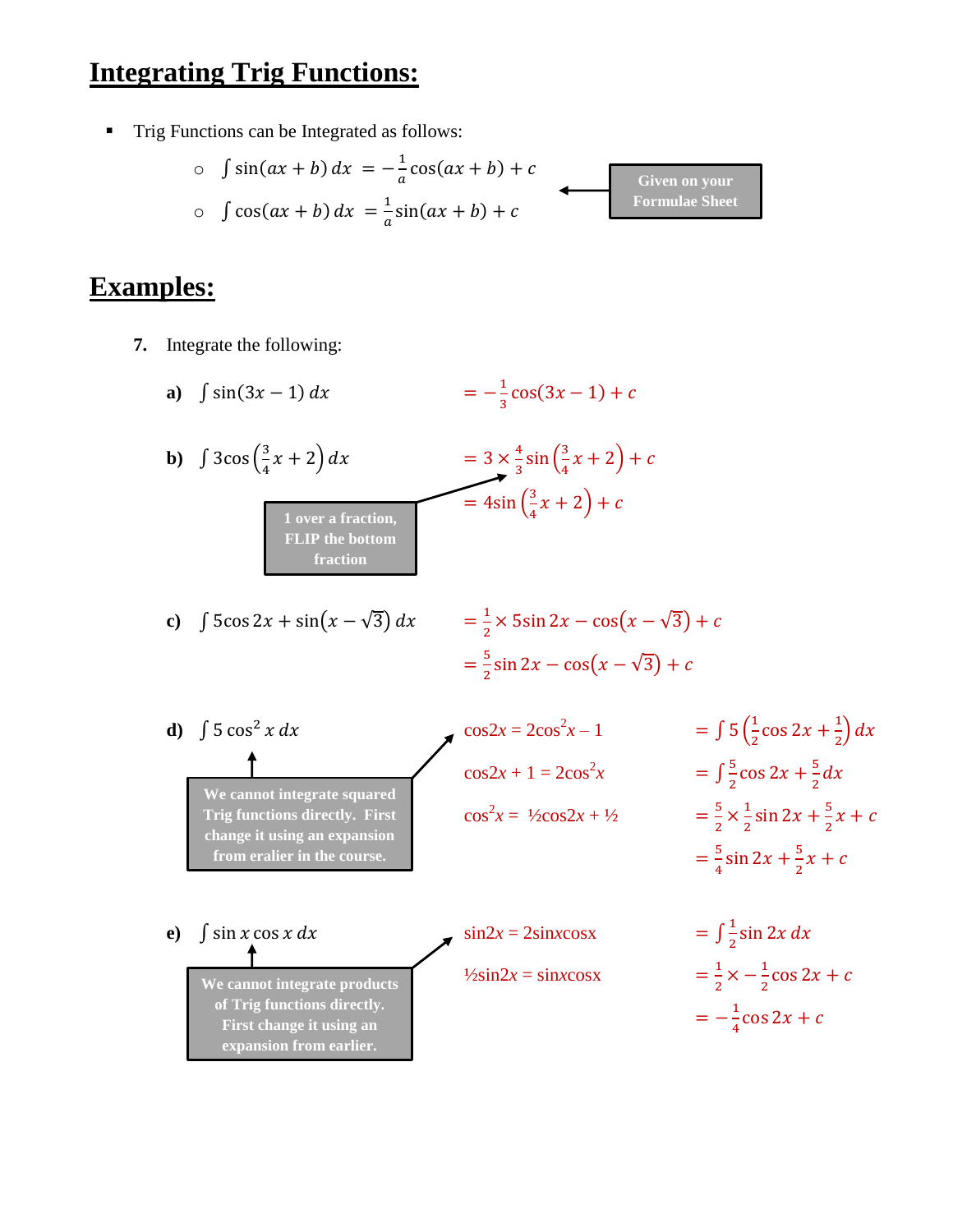## **Integrating Trig Functions:**

**Trig Functions can be Integrated as follows:** 

$$
\int \sin(ax + b) dx = -\frac{1}{a}\cos(ax + b) + c
$$
  
\n
$$
\int \cos(ax + b) dx = \frac{1}{a}\sin(ax + b) + c
$$
  
\n
$$
\text{Formulae Sheet}
$$
  
\n
$$
\text{Formulae Sheet}
$$

- **7.** Integrate the following:
	- **a**)  $\int \sin(3x 1) dx$ 1  $\frac{1}{3}$ cos(3x – 1) + c **b**)  $\int 3\cos\left(\frac{3}{4}\right)$  $\frac{3}{4}x + 2\, dx = 3 \times$ 4  $\frac{4}{3}$ sin $\left(\frac{3}{4}\right)$  $\frac{3}{4}x + 2 + c$  $= 4\sin\left(\frac{3}{2}\right)$  $\frac{3}{4}x + 2 + c$ **c**)  $\int 5\cos 2x + \sin(x - \sqrt{3}) dx$ 1  $\frac{1}{2} \times 5\sin 2x - \cos(x - \sqrt{3}) + c$  $=\frac{5}{3}$  $\frac{3}{2}$ sin 2x – cos(x –  $\sqrt{3}$ ) + c **d**)  $\int 5 \cos^2 x \, dx$  cos2*x* = 2cos<sup>2</sup>*x* - 1  $x-1 = \int 5\left(\frac{1}{2}\right)$  $\frac{1}{2}$ cos 2x +  $\frac{1}{2}$  $\frac{1}{2} dx$  $\cos 2x + 1 = 2\cos^2 x = \int$ 5  $\frac{5}{2}$  cos 2x +  $\frac{5}{2}$  $rac{5}{2}dx$  $\cos^2 x = \frac{1}{2} \cos 2x + \frac{1}{2}$  = 5  $\frac{5}{2} \times \frac{1}{2}$  $\frac{1}{2}$ sin 2x +  $\frac{5}{2}$  $\frac{3}{2}x + c$  $=\frac{5}{4}$  $\frac{5}{4}$ sin 2x +  $\frac{5}{2}$  $\frac{3}{2}x + c$ **e**)  $\int \sin x \cos x \, dx$   $= \sin 2x = 2 \sin x \cos x$ 1  $\frac{1}{2}$ sin 2x dx  $\frac{1}{2}\sin 2x = \sin x \cos x$ 1  $\frac{1}{2} \times -\frac{1}{2}$  $\frac{1}{2}$ cos 2x + c  $=-\frac{1}{1}$  $\frac{1}{4}$ cos 2x + c **1 over a fraction, FLIP the bottom fraction We cannot integrate squared Trig functions directly. First change it using an expansion from eralier in the course. We cannot integrate products of Trig functions directly. First change it using an expansion from earlier.**